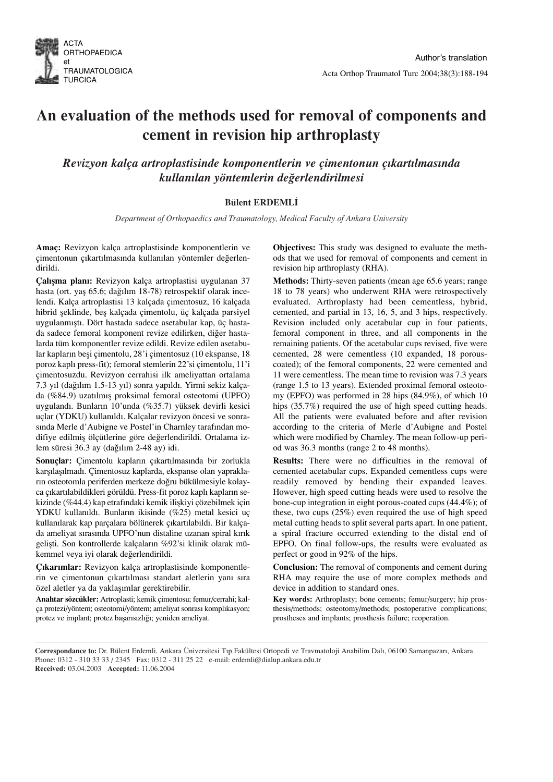

# An evaluation of the methods used for removal of components and cement in revision hip arthroplasty

Revizyon kalça artroplastisinde komponentlerin ve çimentonun çıkartılmasında kullanılan yöntemlerin değerlendirilmesi

## **Bülent ERDEMLİ**

Department of Orthopaedics and Traumatology, Medical Faculty of Ankara University

Amaç: Revizyon kalça artroplastisinde komponentlerin ve çimentonun çıkartılmasında kullanılan yöntemler değerlendirildi.

Calısma planı: Revizyon kalça artroplastisi uygulanan 37 hasta (ort. yas 65.6; dağılım 18-78) retrospektif olarak incelendi. Kalça artroplastisi 13 kalçada çimentosuz, 16 kalçada hibrid seklinde, bes kalçada çimentolu, üç kalçada parsiyel uygulanmıştı. Dört hastada sadece asetabular kap, üç hastada sadece femoral komponent revize edilirken, diğer hastalarda tüm komponentler revize edildi. Revize edilen asetabular kapların beşi çimentolu, 28'i çimentosuz (10 ekspanse, 18 poroz kaplı press-fit); femoral stemlerin 22'si çimentolu, 11'i çimentosuzdu. Revizyon cerrahisi ilk ameliyattan ortalama 7.3 yıl (dağılım 1.5-13 yıl) sonra yapıldı. Yirmi sekiz kalçada (%84.9) uzatılmış proksimal femoral osteotomi (UPFO) uygulandı. Bunların 10'unda (%35.7) yüksek devirli kesici uçlar (YDKU) kullanıldı. Kalçalar revizyon öncesi ve sonrasında Merle d'Aubigne ve Postel'in Charnley tarafından modifiye edilmiş ölçütlerine göre değerlendirildi. Ortalama izlem süresi 36.3 ay (dağılım 2-48 ay) idi.

Sonuçlar: Çimentolu kapların çıkartılmasında bir zorlukla karşılaşılmadı. Çimentosuz kaplarda, ekspanse olan yaprakların osteotomla periferden merkeze doğru bükülmesiyle kolayca çıkartılabildikleri görüldü. Press-fit poroz kaplı kapların sekizinde (%44.4) kap etrafındaki kemik ilişkiyi çözebilmek için YDKU kullanıldı. Bunların ikisinde (%25) metal kesici uç kullanılarak kap parçalara bölünerek çıkartılabildi. Bir kalçada ameliyat sırasında UPFO'nun distaline uzanan spiral kırık gelişti. Son kontrollerde kalçaların %92'si klinik olarak mükemmel veya iyi olarak değerlendirildi.

Çıkarımlar: Revizyon kalça artroplastisinde komponentlerin ve çimentonun çıkartılması standart aletlerin yanı sıra özel aletler ya da yaklaşımlar gerektirebilir.

Anahtar sözcükler: Artroplasti; kemik çimentosu; femur/cerrahi; kalça protezi/yöntem; osteotomi/yöntem; ameliyat sonrası komplikasyon; protez ve implant; protez başarısızlığı; yeniden ameliyat.

Objectives: This study was designed to evaluate the methods that we used for removal of components and cement in revision hip arthroplasty (RHA).

Methods: Thirty-seven patients (mean age 65.6 years; range 18 to 78 years) who underwent RHA were retrospectively evaluated. Arthroplasty had been cementless, hybrid, cemented, and partial in 13, 16, 5, and 3 hips, respectively. Revision included only acetabular cup in four patients, femoral component in three, and all components in the remaining patients. Of the acetabular cups revised, five were cemented, 28 were cementless (10 expanded, 18 porouscoated); of the femoral components, 22 were cemented and 11 were cementless. The mean time to revision was 7.3 years (range 1.5 to 13 years). Extended proximal femoral osteotomy (EPFO) was performed in 28 hips (84.9%), of which 10 hips (35.7%) required the use of high speed cutting heads. All the patients were evaluated before and after revision according to the criteria of Merle d'Aubigne and Postel which were modified by Charnley. The mean follow-up period was 36.3 months (range 2 to 48 months).

Results: There were no difficulties in the removal of cemented acetabular cups. Expanded cementless cups were readily removed by bending their expanded leaves. However, high speed cutting heads were used to resolve the bone-cup integration in eight porous-coated cups (44.4%); of these, two cups (25%) even required the use of high speed metal cutting heads to split several parts apart. In one patient, a spiral fracture occurred extending to the distal end of EPFO. On final follow-ups, the results were evaluated as perfect or good in 92% of the hips.

Conclusion: The removal of components and cement during RHA may require the use of more complex methods and device in addition to standard ones.

Key words: Arthroplasty; bone cements; femur/surgery; hip prosthesis/methods; osteotomy/methods; postoperative complications; prostheses and implants; prosthesis failure; reoperation.

Correspondance to: Dr. Bülent Erdemli. Ankara Üniversitesi Tıp Fakültesi Ortopedi ve Travmatoloji Anabilim Dalı, 06100 Samanpazarı, Ankara. Phone: 0312 - 310 33 33 / 2345 Fax: 0312 - 311 25 22 e-mail: erdemli@dialup.ankara.edu.tr Received: 03.04.2003 Accepted: 11.06.2004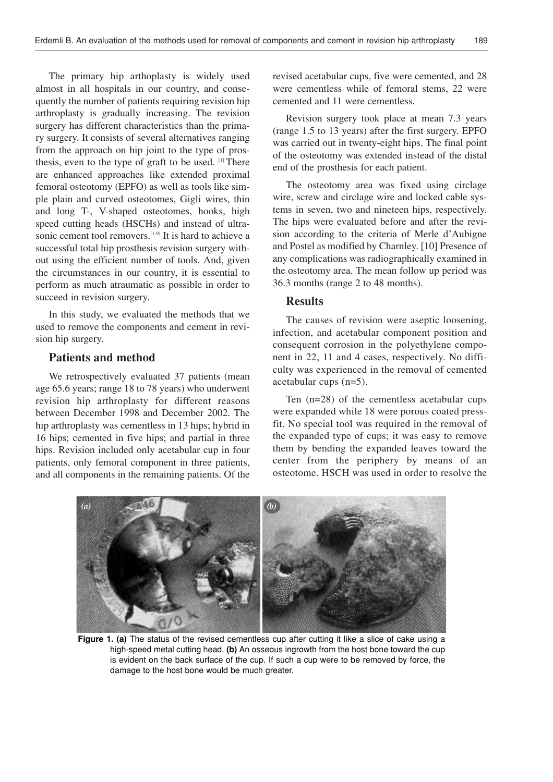The primary hip arthoplasty is widely used almost in all hospitals in our country, and consequently the number of patients requiring revision hip arthroplasty is gradually increasing. The revision surgery has different characteristics than the primary surgery. It consists of several alternatives ranging from the approach on hip joint to the type of prosthesis, even to the type of graft to be used.  $[1]$  There are enhanced approaches like extended proximal femoral osteotomy (EPFO) as well as tools like simple plain and curved osteotomes, Gigli wires, thin and long T-, V-shaped osteotomes, hooks, high speed cutting heads (HSCHs) and instead of ultrasonic cement tool removers.<sup>[1-9]</sup> It is hard to achieve a successful total hip prosthesis revision surgery without using the efficient number of tools. And, given the circumstances in our country, it is essential to perform as much atraumatic as possible in order to succeed in revision surgery.

In this study, we evaluated the methods that we used to remove the components and cement in revision hip surgery.

## Patients and method

We retrospectively evaluated 37 patients (mean age 65.6 years; range 18 to 78 years) who underwent revision hip arthroplasty for different reasons between December 1998 and December 2002. The hip arthroplasty was cementless in 13 hips; hybrid in 16 hips; cemented in five hips; and partial in three hips. Revision included only acetabular cup in four patients, only femoral component in three patients, and all components in the remaining patients. Of the revised acetabular cups, five were cemented, and 28 were cementless while of femoral stems, 22 were cemented and 11 were cementless.

Revision surgery took place at mean 7.3 years (range 1.5 to 13 years) after the first surgery. EPFO was carried out in twenty-eight hips. The final point of the osteotomy was extended instead of the distal end of the prosthesis for each patient.

The osteotomy area was fixed using circlage wire, screw and circlage wire and locked cable systems in seven, two and nineteen hips, respectively. The hips were evaluated before and after the revision according to the criteria of Merle d'Aubigne and Postel as modified by Charnley. [10] Presence of any complications was radiographically examined in the osteotomy area. The mean follow up period was 36.3 months (range 2 to 48 months).

### Results

The causes of revision were aseptic loosening, infection, and acetabular component position and consequent corrosion in the polyethylene component in 22, 11 and 4 cases, respectively. No difficulty was experienced in the removal of cemented acetabular cups (n=5).

Ten (n=28) of the cementless acetabular cups were expanded while 18 were porous coated pressfit. No special tool was required in the removal of the expanded type of cups; it was easy to remove them by bending the expanded leaves toward the center from the periphery by means of an osteotome. HSCH was used in order to resolve the



Figure 1. (a) The status of the revised cementless cup after cutting it like a slice of cake using a high-speed metal cutting head. (b) An osseous ingrowth from the host bone toward the cup is evident on the back surface of the cup. If such a cup were to be removed by force, the damage to the host bone would be much greater.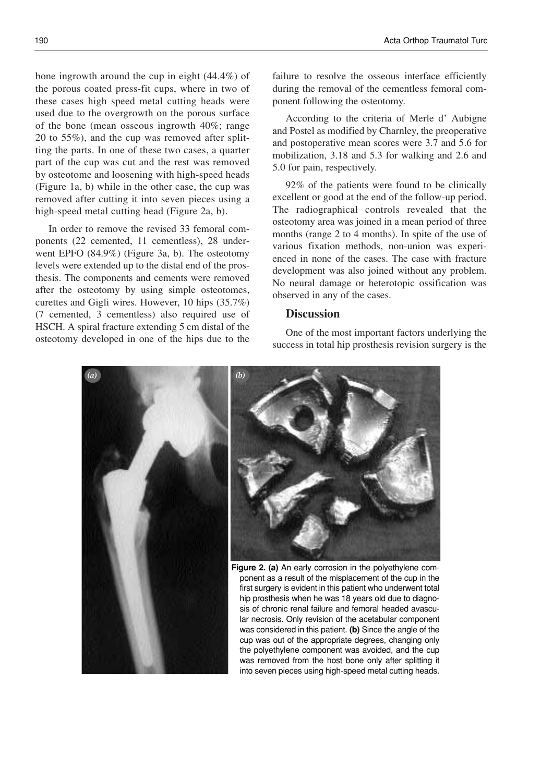bone ingrowth around the cup in eight (44.4%) of the porous coated press-fit cups, where in two of these cases high speed metal cutting heads were used due to the overgrowth on the porous surface of the bone (mean osseous ingrowth 40%; range 20 to 55%), and the cup was removed after splitting the parts. In one of these two cases, a quarter part of the cup was cut and the rest was removed by osteotome and loosening with high-speed heads (Figure 1a, b) while in the other case, the cup was removed after cutting it into seven pieces using a high-speed metal cutting head (Figure 2a, b).

In order to remove the revised 33 femoral components (22 cemented, 11 cementless), 28 underwent EPFO (84.9%) (Figure 3a, b). The osteotomy levels were extended up to the distal end of the prosthesis. The components and cements were removed after the osteotomy by using simple osteotomes, curettes and Gigli wires. However, 10 hips (35.7%) (7 cemented, 3 cementless) also required use of HSCH. A spiral fracture extending 5 cm distal of the osteotomy developed in one of the hips due to the failure to resolve the osseous interface efficiently during the removal of the cementless femoral component following the osteotomy.

According to the criteria of Merle d' Aubigne and Postel as modified by Charnley, the preoperative and postoperative mean scores were 3.7 and 5.6 for mobilization, 3.18 and 5.3 for walking and 2.6 and 5.0 for pain, respectively.

92% of the patients were found to be clinically excellent or good at the end of the follow-up period. The radiographical controls revealed that the osteotomy area was joined in a mean period of three months (range 2 to 4 months). In spite of the use of various fixation methods, non-union was experienced in none of the cases. The case with fracture development was also joined without any problem. No neural damage or heterotopic ossification was observed in any of the cases.

### **Discussion**

One of the most important factors underlying the success in total hip prosthesis revision surgery is the

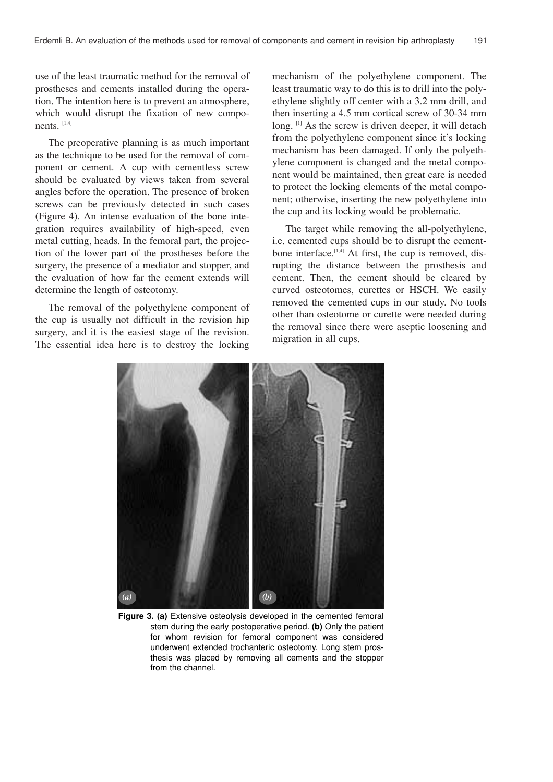use of the least traumatic method for the removal of prostheses and cements installed during the operation. The intention here is to prevent an atmosphere, which would disrupt the fixation of new components. [1,4]

The preoperative planning is as much important as the technique to be used for the removal of component or cement. A cup with cementless screw should be evaluated by views taken from several angles before the operation. The presence of broken screws can be previously detected in such cases (Figure 4). An intense evaluation of the bone integration requires availability of high-speed, even metal cutting, heads. In the femoral part, the projection of the lower part of the prostheses before the surgery, the presence of a mediator and stopper, and the evaluation of how far the cement extends will determine the length of osteotomy.

The removal of the polyethylene component of the cup is usually not difficult in the revision hip surgery, and it is the easiest stage of the revision. The essential idea here is to destroy the locking mechanism of the polyethylene component. The least traumatic way to do this is to drill into the polyethylene slightly off center with a 3.2 mm drill, and then inserting a 4.5 mm cortical screw of 30-34 mm long. <sup>[1]</sup> As the screw is driven deeper, it will detach from the polyethylene component since it's locking mechanism has been damaged. If only the polyethylene component is changed and the metal component would be maintained, then great care is needed to protect the locking elements of the metal component; otherwise, inserting the new polyethylene into the cup and its locking would be problematic.

The target while removing the all-polyethylene, i.e. cemented cups should be to disrupt the cementbone interface.<sup>[1,4]</sup> At first, the cup is removed, disrupting the distance between the prosthesis and cement. Then, the cement should be cleared by curved osteotomes, curettes or HSCH. We easily removed the cemented cups in our study. No tools other than osteotome or curette were needed during the removal since there were aseptic loosening and migration in all cups.



Figure 3. (a) Extensive osteolysis developed in the cemented femoral stem during the early postoperative period. (b) Only the patient for whom revision for femoral component was considered underwent extended trochanteric osteotomy. Long stem prosthesis was placed by removing all cements and the stopper from the channel.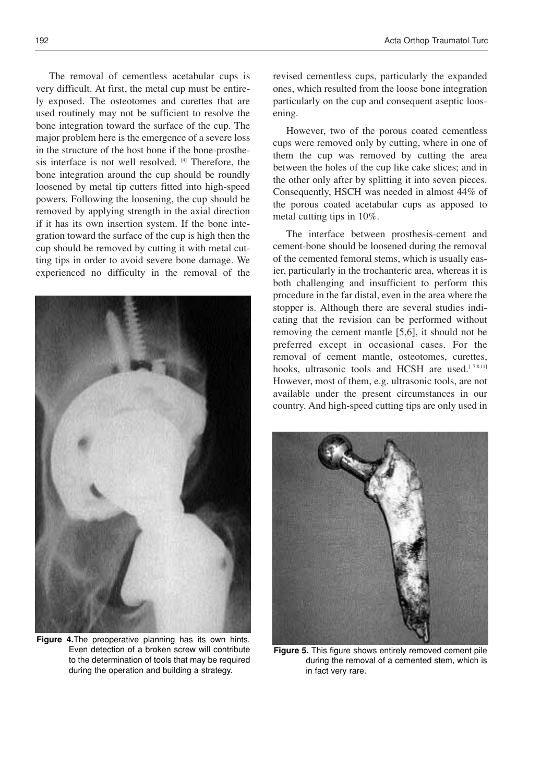The removal of cementless acetabular cups is very difficult. At first, the metal cup must be entirely exposed. The osteotomes and curettes that are used routinely may not be sufficient to resolve the bone integration toward the surface of the cup. The major problem here is the emergence of a severe loss in the structure of the host bone if the bone-prosthesis interface is not well resolved. [4] Therefore, the bone integration around the cup should be roundly loosened by metal tip cutters fitted into high-speed powers. Following the loosening, the cup should be removed by applying strength in the axial direction if it has its own insertion system. If the bone integration toward the surface of the cup is high then the cup should be removed by cutting it with metal cutting tips in order to avoid severe bone damage. We experienced no difficulty in the removal of the



Figure 4. The preoperative planning has its own hints. Even detection of a broken screw will contribute to the determination of tools that may be required during the operation and building a strategy.

revised cementless cups, particularly the expanded ones, which resulted from the loose bone integration particularly on the cup and consequent aseptic loosening.

However, two of the porous coated cementless cups were removed only by cutting, where in one of them the cup was removed by cutting the area between the holes of the cup like cake slices; and in the other only after by splitting it into seven pieces. Consequently, HSCH was needed in almost 44% of the porous coated acetabular cups as apposed to metal cutting tips in 10%.

The interface between prosthesis-cement and cement-bone should be loosened during the removal of the cemented femoral stems, which is usually easier, particularly in the trochanteric area, whereas it is both challenging and insufficient to perform this procedure in the far distal, even in the area where the stopper is. Although there are several studies indicating that the revision can be performed without removing the cement mantle [5,6], it should not be preferred except in occasional cases. For the removal of cement mantle, osteotomes, curettes, hooks, ultrasonic tools and HCSH are used.<sup>[7,8,11]</sup> However, most of them, e.g. ultrasonic tools, are not available under the present circumstances in our country. And high-speed cutting tips are only used in



Figure 5. This figure shows entirely removed cement pile during the removal of a cemented stem, which is in fact very rare.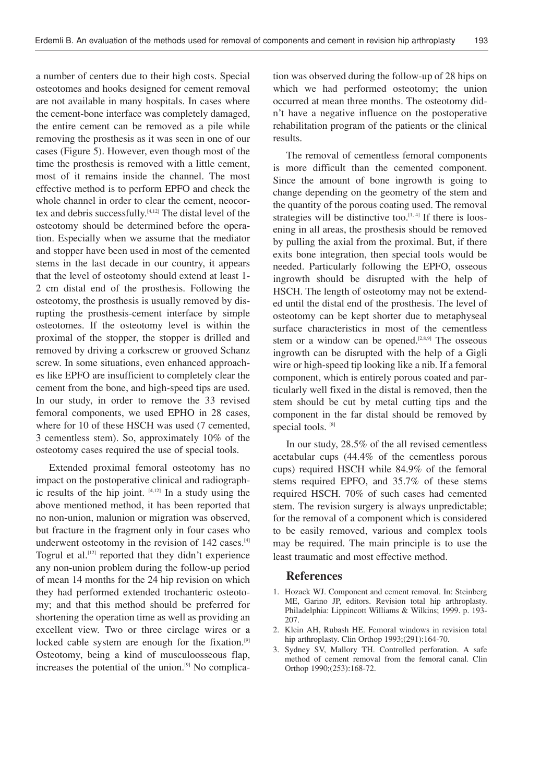a number of centers due to their high costs. Special osteotomes and hooks designed for cement removal are not available in many hospitals. In cases where the cement-bone interface was completely damaged, the entire cement can be removed as a pile while removing the prosthesis as it was seen in one of our cases (Figure 5). However, even though most of the time the prosthesis is removed with a little cement, most of it remains inside the channel. The most effective method is to perform EPFO and check the whole channel in order to clear the cement, neocortex and debris successfully.[4,12] The distal level of the osteotomy should be determined before the operation. Especially when we assume that the mediator and stopper have been used in most of the cemented stems in the last decade in our country, it appears that the level of osteotomy should extend at least 1- 2 cm distal end of the prosthesis. Following the osteotomy, the prosthesis is usually removed by disrupting the prosthesis-cement interface by simple osteotomes. If the osteotomy level is within the proximal of the stopper, the stopper is drilled and removed by driving a corkscrew or grooved Schanz screw. In some situations, even enhanced approaches like EPFO are insufficient to completely clear the cement from the bone, and high-speed tips are used. In our study, in order to remove the 33 revised femoral components, we used EPHO in 28 cases, where for 10 of these HSCH was used (7 cemented, 3 cementless stem). So, approximately 10% of the osteotomy cases required the use of special tools.

Extended proximal femoral osteotomy has no impact on the postoperative clinical and radiographic results of the hip joint.  $[4,12]$  In a study using the above mentioned method, it has been reported that no non-union, malunion or migration was observed, but fracture in the fragment only in four cases who underwent osteotomy in the revision of 142 cases.<sup>[4]</sup> Togrul et al.[12] reported that they didn't experience any non-union problem during the follow-up period of mean 14 months for the 24 hip revision on which they had performed extended trochanteric osteotomy; and that this method should be preferred for shortening the operation time as well as providing an excellent view. Two or three circlage wires or a locked cable system are enough for the fixation.<sup>[9]</sup> Osteotomy, being a kind of musculoosseous flap, increases the potential of the union.[9] No complication was observed during the follow-up of 28 hips on which we had performed osteotomy; the union occurred at mean three months. The osteotomy didn't have a negative influence on the postoperative rehabilitation program of the patients or the clinical results.

The removal of cementless femoral components is more difficult than the cemented component. Since the amount of bone ingrowth is going to change depending on the geometry of the stem and the quantity of the porous coating used. The removal strategies will be distinctive too. $[1, 4]$  If there is loosening in all areas, the prosthesis should be removed by pulling the axial from the proximal. But, if there exits bone integration, then special tools would be needed. Particularly following the EPFO, osseous ingrowth should be disrupted with the help of HSCH. The length of osteotomy may not be extended until the distal end of the prosthesis. The level of osteotomy can be kept shorter due to metaphyseal surface characteristics in most of the cementless stem or a window can be opened.<sup>[2,8,9]</sup> The osseous ingrowth can be disrupted with the help of a Gigli wire or high-speed tip looking like a nib. If a femoral component, which is entirely porous coated and particularly well fixed in the distal is removed, then the stem should be cut by metal cutting tips and the component in the far distal should be removed by special tools. [8]

In our study, 28.5% of the all revised cementless acetabular cups (44.4% of the cementless porous cups) required HSCH while 84.9% of the femoral stems required EPFO, and 35.7% of these stems required HSCH. 70% of such cases had cemented stem. The revision surgery is always unpredictable; for the removal of a component which is considered to be easily removed, various and complex tools may be required. The main principle is to use the least traumatic and most effective method.

#### References

- 1. Hozack WJ. Component and cement removal. In: Steinberg ME, Garino JP, editors. Revision total hip arthroplasty. Philadelphia: Lippincott Williams & Wilkins; 1999. p. 193- 207.
- 2. Klein AH, Rubash HE. Femoral windows in revision total hip arthroplasty. Clin Orthop 1993;(291):164-70.
- 3. Sydney SV, Mallory TH. Controlled perforation. A safe method of cement removal from the femoral canal. Clin Orthop 1990;(253):168-72.